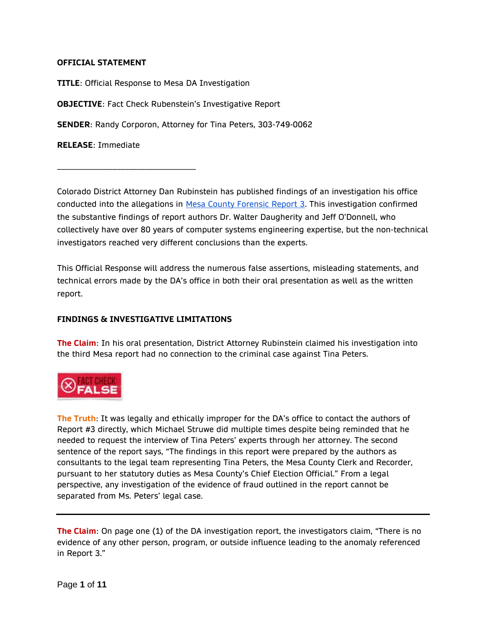## **OFFICIAL STATEMENT**

\_\_\_\_\_\_\_\_\_\_\_\_\_\_\_\_\_\_\_\_\_\_\_\_\_\_\_\_\_\_\_\_\_\_\_

**TITLE**: Official Response to Mesa DA Investigation **OBJECTIVE**: Fact Check Rubenstein's Investigative Report **SENDER**: Randy Corporon, Attorney for Tina Peters, 303-749-0062 **RELEASE**: Immediate

Colorado District Attorney Dan Rubinstein has published findings of an investigation his office conducted into the allegations in [Mesa County Forensic Report 3.](https://frankspeech.com/article/bombshell-proof-election-machine-manipulation) This investigation confirmed the substantive findings of report authors Dr. Walter Daugherity and Jeff O'Donnell, who collectively have over 80 years of computer systems engineering expertise, but the non-technical investigators reached very different conclusions than the experts.

This Official Response will address the numerous false assertions, misleading statements, and technical errors made by the DA's office in both their oral presentation as well as the written report.

## **FINDINGS & INVESTIGATIVE LIMITATIONS**

**The Claim**: In his oral presentation, District Attorney Rubinstein claimed his investigation into the third Mesa report had no connection to the criminal case against Tina Peters.



**The Truth**: It was legally and ethically improper for the DA's office to contact the authors of Report #3 directly, which Michael Struwe did multiple times despite being reminded that he needed to request the interview of Tina Peters' experts through her attorney. The second sentence of the report says, "The findings in this report were prepared by the authors as consultants to the legal team representing Tina Peters, the Mesa County Clerk and Recorder, pursuant to her statutory duties as Mesa County's Chief Election Official." From a legal perspective, any investigation of the evidence of fraud outlined in the report cannot be separated from Ms. Peters' legal case.

**The Claim**: On page one (1) of the DA investigation report, the investigators claim, "There is no evidence of any other person, program, or outside influence leading to the anomaly referenced in Report 3."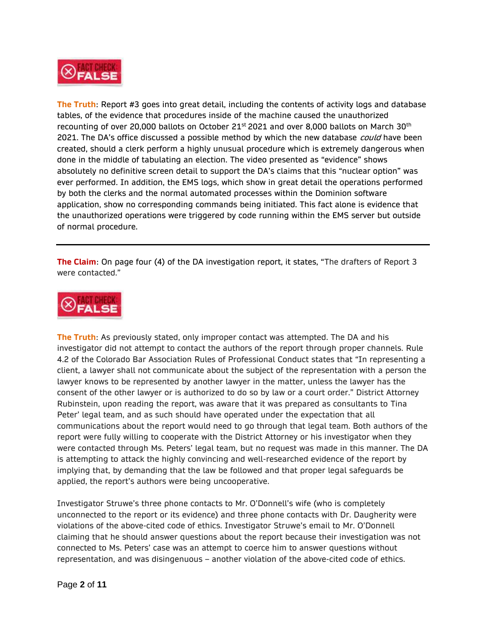

**The Truth**: Report #3 goes into great detail, including the contents of activity logs and database tables, of the evidence that procedures inside of the machine caused the unauthorized recounting of over 20,000 ballots on October 21<sup>st</sup> 2021 and over 8,000 ballots on March 30<sup>th</sup> 2021. The DA's office discussed a possible method by which the new database *could* have been created, should a clerk perform a highly unusual procedure which is extremely dangerous when done in the middle of tabulating an election. The video presented as "evidence" shows absolutely no definitive screen detail to support the DA's claims that this "nuclear option" was ever performed. In addition, the EMS logs, which show in great detail the operations performed by both the clerks and the normal automated processes within the Dominion software application, show no corresponding commands being initiated. This fact alone is evidence that the unauthorized operations were triggered by code running within the EMS server but outside of normal procedure.

**The Claim**: On page four (4) of the DA investigation report, it states, "The drafters of Report 3 were contacted."



**The Truth**: As previously stated, only improper contact was attempted. The DA and his investigator did not attempt to contact the authors of the report through proper channels. Rule 4.2 of the Colorado Bar Association Rules of Professional Conduct states that "In representing a client, a lawyer shall not communicate about the subject of the representation with a person the lawyer knows to be represented by another lawyer in the matter, unless the lawyer has the consent of the other lawyer or is authorized to do so by law or a court order." District Attorney Rubinstein, upon reading the report, was aware that it was prepared as consultants to Tina Peter' legal team, and as such should have operated under the expectation that all communications about the report would need to go through that legal team. Both authors of the report were fully willing to cooperate with the District Attorney or his investigator when they were contacted through Ms. Peters' legal team, but no request was made in this manner. The DA is attempting to attack the highly convincing and well-researched evidence of the report by implying that, by demanding that the law be followed and that proper legal safeguards be applied, the report's authors were being uncooperative.

Investigator Struwe's three phone contacts to Mr. O'Donnell's wife (who is completely unconnected to the report or its evidence) and three phone contacts with Dr. Daugherity were violations of the above-cited code of ethics. Investigator Struwe's email to Mr. O'Donnell claiming that he should answer questions about the report because their investigation was not connected to Ms. Peters' case was an attempt to coerce him to answer questions without representation, and was disingenuous – another violation of the above-cited code of ethics.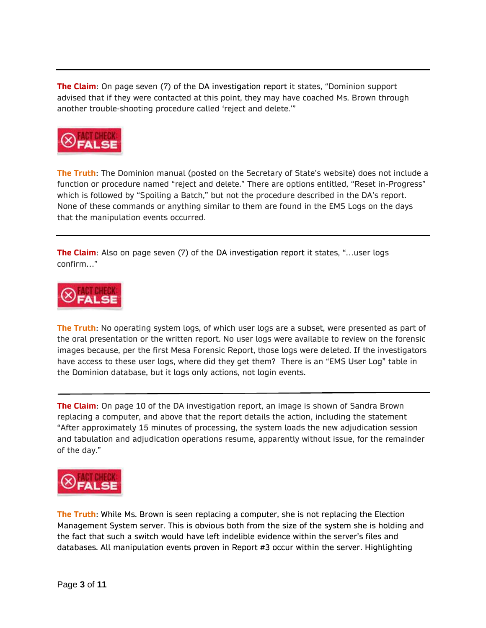**The Claim**: On page seven (7) of the DA investigation report it states, "Dominion support advised that if they were contacted at this point, they may have coached Ms. Brown through another trouble-shooting procedure called 'reject and delete.'"



**The Truth**: The Dominion manual (posted on the Secretary of State's website) does not include a function or procedure named "reject and delete." There are options entitled, "Reset in-Progress" which is followed by "Spoiling a Batch," but not the procedure described in the DA's report. None of these commands or anything similar to them are found in the EMS Logs on the days that the manipulation events occurred.

**The Claim**: Also on page seven (7) of the DA investigation report it states, "…user logs confirm…"



**The Truth**: No operating system logs, of which user logs are a subset, were presented as part of the oral presentation or the written report. No user logs were available to review on the forensic images because, per the first Mesa Forensic Report, those logs were deleted. If the investigators have access to these user logs, where did they get them? There is an "EMS User Log" table in the Dominion database, but it logs only actions, not login events.

**The Claim**: On page 10 of the DA investigation report, an image is shown of Sandra Brown replacing a computer, and above that the report details the action, including the statement "After approximately 15 minutes of processing, the system loads the new adjudication session and tabulation and adjudication operations resume, apparently without issue, for the remainder of the day."



**The Truth**: While Ms. Brown is seen replacing a computer, she is not replacing the Election Management System server. This is obvious both from the size of the system she is holding and the fact that such a switch would have left indelible evidence within the server's files and databases. All manipulation events proven in Report #3 occur within the server. Highlighting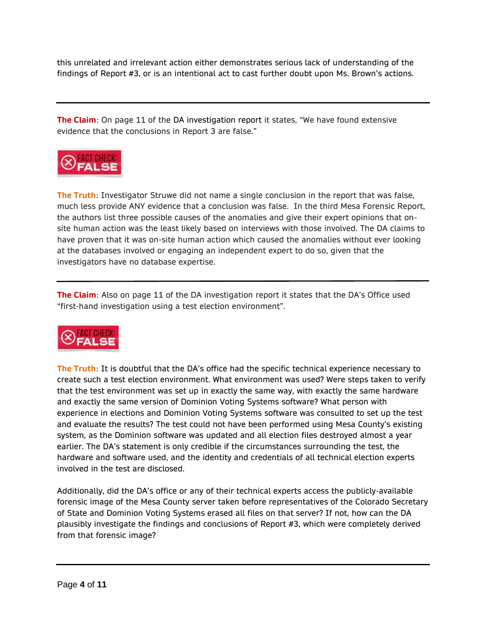this unrelated and irrelevant action either demonstrates serious lack of understanding of the findings of Report #3, or is an intentional act to cast further doubt upon Ms. Brown's actions.

**The Claim**: On page 11 of the DA investigation report it states, "We have found extensive evidence that the conclusions in Report 3 are false."



**The Truth**: Investigator Struwe did not name a single conclusion in the report that was false, much less provide ANY evidence that a conclusion was false. In the third Mesa Forensic Report, the authors list three possible causes of the anomalies and give their expert opinions that onsite human action was the least likely based on interviews with those involved. The DA claims to have proven that it was on-site human action which caused the anomalies without ever looking at the databases involved or engaging an independent expert to do so, given that the investigators have no database expertise.

**The Claim**: Also on page 11 of the DA investigation report it states that the DA's Office used "first-hand investigation using a test election environment".



**The Truth:** It is doubtful that the DA's office had the specific technical experience necessary to create such a test election environment. What environment was used? Were steps taken to verify that the test environment was set up in exactly the same way, with exactly the same hardware and exactly the same version of Dominion Voting Systems software? What person with experience in elections and Dominion Voting Systems software was consulted to set up the test and evaluate the results? The test could not have been performed using Mesa County's existing system, as the Dominion software was updated and all election files destroyed almost a year earlier. The DA's statement is only credible if the circumstances surrounding the test, the hardware and software used, and the identity and credentials of all technical election experts involved in the test are disclosed.

Additionally, did the DA's office or any of their technical experts access the publicly-available forensic image of the Mesa County server taken before representatives of the Colorado Secretary of State and Dominion Voting Systems erased all files on that server? If not, how can the DA plausibly investigate the findings and conclusions of Report #3, which were completely derived from that forensic image?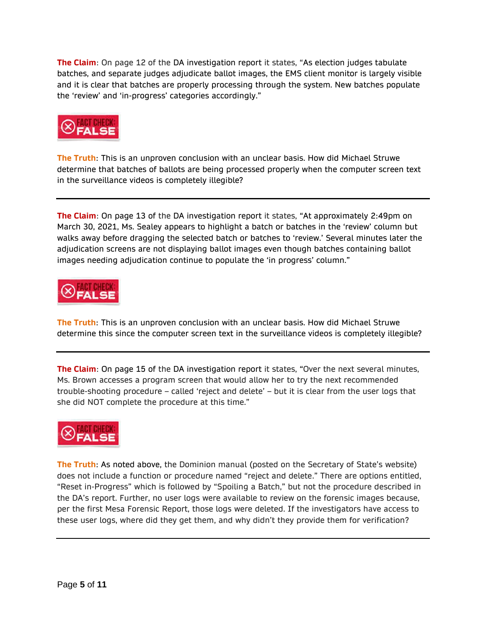**The Claim**: On page 12 of the DA investigation report it states, "As election judges tabulate batches, and separate judges adjudicate ballot images, the EMS client monitor is largely visible and it is clear that batches are properly processing through the system. New batches populate the 'review' and 'in-progress' categories accordingly."



**The Truth**: This is an unproven conclusion with an unclear basis. How did Michael Struwe determine that batches of ballots are being processed properly when the computer screen text in the surveillance videos is completely illegible?

**The Claim**: On page 13 of the DA investigation report it states, "At approximately 2:49pm on March 30, 2021, Ms. Sealey appears to highlight a batch or batches in the 'review' column but walks away before dragging the selected batch or batches to 'review.' Several minutes later the adjudication screens are not displaying ballot images even though batches containing ballot images needing adjudication continue to populate the 'in progress' column."



**The Truth**: This is an unproven conclusion with an unclear basis. How did Michael Struwe determine this since the computer screen text in the surveillance videos is completely illegible?

**The Claim**: On page 15 of the DA investigation report it states, "Over the next several minutes, Ms. Brown accesses a program screen that would allow her to try the next recommended trouble-shooting procedure – called 'reject and delete' – but it is clear from the user logs that she did NOT complete the procedure at this time."



**The Truth**: As noted above, the Dominion manual (posted on the Secretary of State's website) does not include a function or procedure named "reject and delete." There are options entitled, "Reset in-Progress" which is followed by "Spoiling a Batch," but not the procedure described in the DA's report. Further, no user logs were available to review on the forensic images because, per the first Mesa Forensic Report, those logs were deleted. If the investigators have access to these user logs, where did they get them, and why didn't they provide them for verification?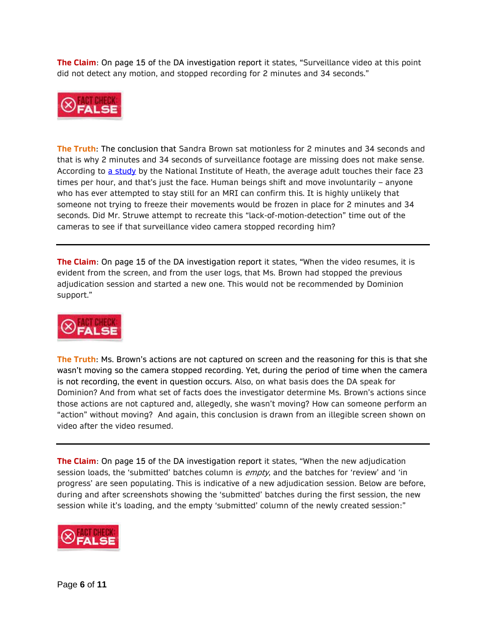**The Claim**: On page 15 of the DA investigation report it states, "Surveillance video at this point did not detect any motion, and stopped recording for 2 minutes and 34 seconds."



**The Truth**: The conclusion that Sandra Brown sat motionless for 2 minutes and 34 seconds and that is why 2 minutes and 34 seconds of surveillance footage are missing does not make sense. According to [a study](https://pubmed.ncbi.nlm.nih.gov/25637115/) by the National Institute of Heath, the average adult touches their face 23 times per hour, and that's just the face. Human beings shift and move involuntarily – anyone who has ever attempted to stay still for an MRI can confirm this. It is highly unlikely that someone not trying to freeze their movements would be frozen in place for 2 minutes and 34 seconds. Did Mr. Struwe attempt to recreate this "lack-of-motion-detection" time out of the cameras to see if that surveillance video camera stopped recording him?

**The Claim**: On page 15 of the DA investigation report it states, "When the video resumes, it is evident from the screen, and from the user logs, that Ms. Brown had stopped the previous adjudication session and started a new one. This would not be recommended by Dominion support."



**The Truth**: Ms. Brown's actions are not captured on screen and the reasoning for this is that she wasn't moving so the camera stopped recording. Yet, during the period of time when the camera is not recording, the event in question occurs. Also, on what basis does the DA speak for Dominion? And from what set of facts does the investigator determine Ms. Brown's actions since those actions are not captured and, allegedly, she wasn't moving? How can someone perform an "action" without moving? And again, this conclusion is drawn from an illegible screen shown on video after the video resumed.

**The Claim**: On page 15 of the DA investigation report it states, "When the new adjudication session loads, the 'submitted' batches column is *empty*, and the batches for 'review' and 'in progress' are seen populating. This is indicative of a new adjudication session. Below are before, during and after screenshots showing the 'submitted' batches during the first session, the new session while it's loading, and the empty 'submitted' column of the newly created session:"

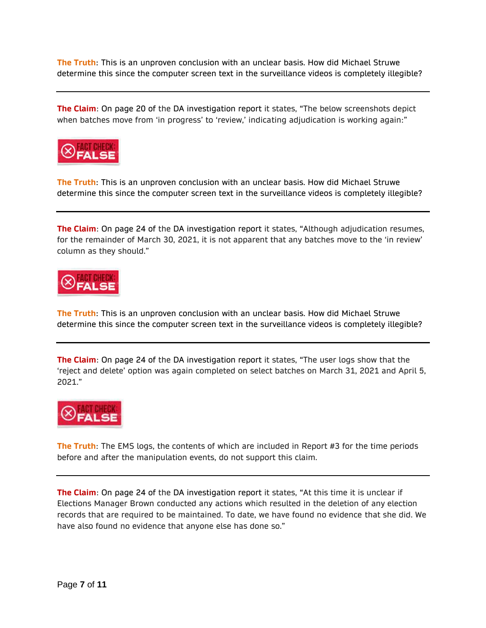**The Truth**: This is an unproven conclusion with an unclear basis. How did Michael Struwe determine this since the computer screen text in the surveillance videos is completely illegible?

**The Claim**: On page 20 of the DA investigation report it states, "The below screenshots depict when batches move from 'in progress' to 'review,' indicating adjudication is working again:"



**The Truth**: This is an unproven conclusion with an unclear basis. How did Michael Struwe determine this since the computer screen text in the surveillance videos is completely illegible?

**The Claim**: On page 24 of the DA investigation report it states, "Although adjudication resumes, for the remainder of March 30, 2021, it is not apparent that any batches move to the 'in review' column as they should."



**The Truth**: This is an unproven conclusion with an unclear basis. How did Michael Struwe determine this since the computer screen text in the surveillance videos is completely illegible?

**The Claim**: On page 24 of the DA investigation report it states, "The user logs show that the 'reject and delete' option was again completed on select batches on March 31, 2021 and April 5, 2021."



**The Truth**: The EMS logs, the contents of which are included in Report #3 for the time periods before and after the manipulation events, do not support this claim.

**The Claim**: On page 24 of the DA investigation report it states, "At this time it is unclear if Elections Manager Brown conducted any actions which resulted in the deletion of any election records that are required to be maintained. To date, we have found no evidence that she did. We have also found no evidence that anyone else has done so."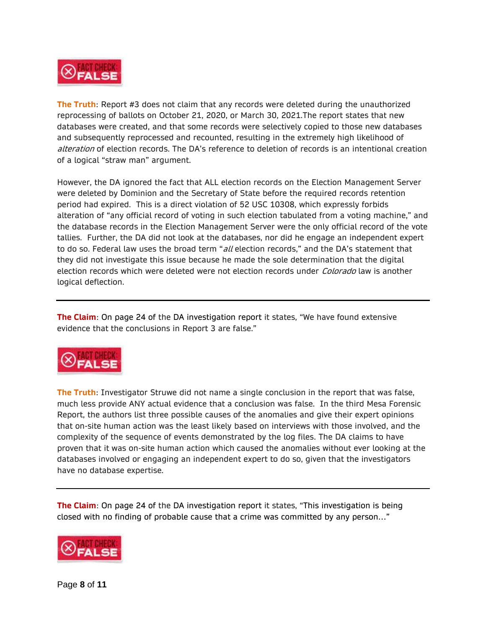

**The Truth**: Report #3 does not claim that any records were deleted during the unauthorized reprocessing of ballots on October 21, 2020, or March 30, 2021.The report states that new databases were created, and that some records were selectively copied to those new databases and subsequently reprocessed and recounted, resulting in the extremely high likelihood of alteration of election records. The DA's reference to deletion of records is an intentional creation of a logical "straw man" argument.

However, the DA ignored the fact that ALL election records on the Election Management Server were deleted by Dominion and the Secretary of State before the required records retention period had expired. This is a direct violation of 52 USC 10308, which expressly forbids alteration of "any official record of voting in such election tabulated from a voting machine," and the database records in the Election Management Server were the only official record of the vote tallies. Further, the DA did not look at the databases, nor did he engage an independent expert to do so. Federal law uses the broad term "all election records," and the DA's statement that they did not investigate this issue because he made the sole determination that the digital election records which were deleted were not election records under *Colorado* law is another logical deflection.

**The Claim**: On page 24 of the DA investigation report it states, "We have found extensive evidence that the conclusions in Report 3 are false."



**The Truth**: Investigator Struwe did not name a single conclusion in the report that was false, much less provide ANY actual evidence that a conclusion was false. In the third Mesa Forensic Report, the authors list three possible causes of the anomalies and give their expert opinions that on-site human action was the least likely based on interviews with those involved, and the complexity of the sequence of events demonstrated by the log files. The DA claims to have proven that it was on-site human action which caused the anomalies without ever looking at the databases involved or engaging an independent expert to do so, given that the investigators have no database expertise.

**The Claim**: On page 24 of the DA investigation report it states, "This investigation is being closed with no finding of probable cause that a crime was committed by any person…"

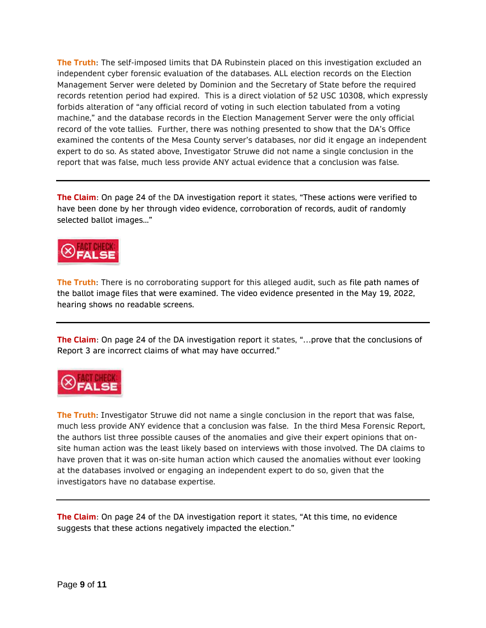**The Truth**: The self-imposed limits that DA Rubinstein placed on this investigation excluded an independent cyber forensic evaluation of the databases. ALL election records on the Election Management Server were deleted by Dominion and the Secretary of State before the required records retention period had expired. This is a direct violation of 52 USC 10308, which expressly forbids alteration of "any official record of voting in such election tabulated from a voting machine," and the database records in the Election Management Server were the only official record of the vote tallies. Further, there was nothing presented to show that the DA's Office examined the contents of the Mesa County server's databases, nor did it engage an independent expert to do so. As stated above, Investigator Struwe did not name a single conclusion in the report that was false, much less provide ANY actual evidence that a conclusion was false.

**The Claim**: On page 24 of the DA investigation report it states, "These actions were verified to have been done by her through video evidence, corroboration of records, audit of randomly selected ballot images..."



**The Truth**: There is no corroborating support for this alleged audit, such as file path names of the ballot image files that were examined. The video evidence presented in the May 19, 2022, hearing shows no readable screens.

**The Claim**: On page 24 of the DA investigation report it states, "…prove that the conclusions of Report 3 are incorrect claims of what may have occurred."



**The Truth**: Investigator Struwe did not name a single conclusion in the report that was false, much less provide ANY evidence that a conclusion was false. In the third Mesa Forensic Report, the authors list three possible causes of the anomalies and give their expert opinions that onsite human action was the least likely based on interviews with those involved. The DA claims to have proven that it was on-site human action which caused the anomalies without ever looking at the databases involved or engaging an independent expert to do so, given that the investigators have no database expertise.

**The Claim**: On page 24 of the DA investigation report it states, "At this time, no evidence suggests that these actions negatively impacted the election."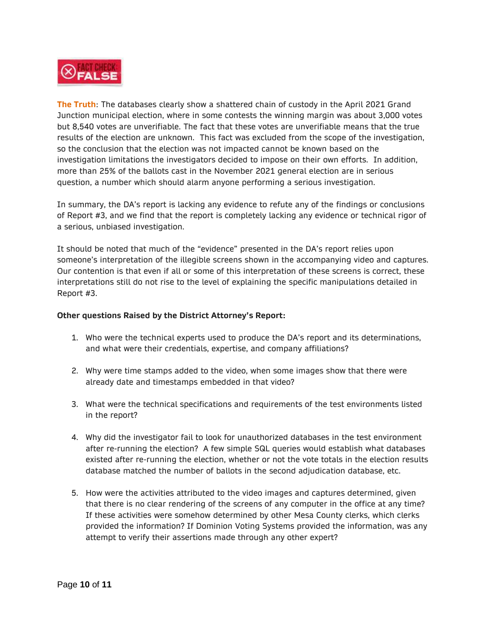

**The Truth**: The databases clearly show a shattered chain of custody in the April 2021 Grand Junction municipal election, where in some contests the winning margin was about 3,000 votes but 8,540 votes are unverifiable. The fact that these votes are unverifiable means that the true results of the election are unknown. This fact was excluded from the scope of the investigation, so the conclusion that the election was not impacted cannot be known based on the investigation limitations the investigators decided to impose on their own efforts. In addition, more than 25% of the ballots cast in the November 2021 general election are in serious question, a number which should alarm anyone performing a serious investigation.

In summary, the DA's report is lacking any evidence to refute any of the findings or conclusions of Report #3, and we find that the report is completely lacking any evidence or technical rigor of a serious, unbiased investigation.

It should be noted that much of the "evidence" presented in the DA's report relies upon someone's interpretation of the illegible screens shown in the accompanying video and captures. Our contention is that even if all or some of this interpretation of these screens is correct, these interpretations still do not rise to the level of explaining the specific manipulations detailed in Report #3.

## **Other questions Raised by the District Attorney's Report:**

- 1. Who were the technical experts used to produce the DA's report and its determinations, and what were their credentials, expertise, and company affiliations?
- 2. Why were time stamps added to the video, when some images show that there were already date and timestamps embedded in that video?
- 3. What were the technical specifications and requirements of the test environments listed in the report?
- 4. Why did the investigator fail to look for unauthorized databases in the test environment after re-running the election? A few simple SQL queries would establish what databases existed after re-running the election, whether or not the vote totals in the election results database matched the number of ballots in the second adjudication database, etc.
- 5. How were the activities attributed to the video images and captures determined, given that there is no clear rendering of the screens of any computer in the office at any time? If these activities were somehow determined by other Mesa County clerks, which clerks provided the information? If Dominion Voting Systems provided the information, was any attempt to verify their assertions made through any other expert?